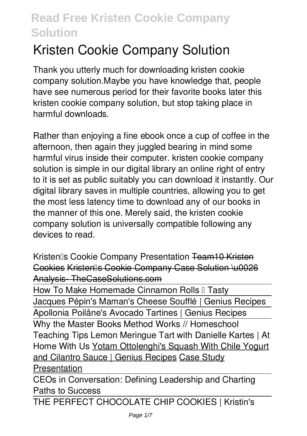# **Kristen Cookie Company Solution**

Thank you utterly much for downloading **kristen cookie company solution**.Maybe you have knowledge that, people have see numerous period for their favorite books later this kristen cookie company solution, but stop taking place in harmful downloads.

Rather than enjoying a fine ebook once a cup of coffee in the afternoon, then again they juggled bearing in mind some harmful virus inside their computer. **kristen cookie company solution** is simple in our digital library an online right of entry to it is set as public suitably you can download it instantly. Our digital library saves in multiple countries, allowing you to get the most less latency time to download any of our books in the manner of this one. Merely said, the kristen cookie company solution is universally compatible following any devices to read.

*Kristen's Cookie Company Presentation* Team10 Kristen Cookies Kristen's Cookie Company Case Solution \u0026 Analysis- TheCaseSolutions.com

How To Make Homemade Cinnamon Rolls II Tasty Jacques Pépin's Maman's Cheese Soufflé | Genius Recipes Apollonia Poilâne's Avocado Tartines | Genius Recipes Why the Master Books Method Works // Homeschool Teaching Tips Lemon Meringue Tart with Danielle Kartes | At Home With Us Yotam Ottolenghi's Squash With Chile Yogurt and Cilantro Sauce | Genius Recipes Case Study Presentation

CEOs in Conversation: Defining Leadership and Charting Paths to Success

THE PERFECT CHOCOLATE CHIP COOKIES | Kristin's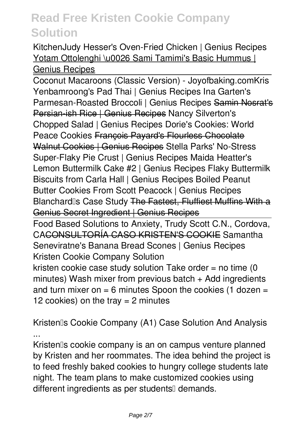Kitchen*Judy Hesser's Oven-Fried Chicken | Genius Recipes* Yotam Ottolenghi \u0026 Sami Tamimi's Basic Hummus I Genius Recipes

Coconut Macaroons (Classic Version) - Joyofbaking.com**Kris Yenbamroong's Pad Thai | Genius Recipes** *Ina Garten's Parmesan-Roasted Broccoli | Genius Recipes* Samin Nosrat's Persian-ish Rice | Genius Recipes Nancy Silverton's Chopped Salad | Genius Recipes *Dorie's Cookies: World Peace Cookies* François Payard's Flourless Chocolate Walnut Cookies | Genius Recipes **Stella Parks' No-Stress Super-Flaky Pie Crust | Genius Recipes Maida Heatter's Lemon Buttermilk Cake #2 | Genius Recipes** Flaky Buttermilk Biscuits from Carla Hall | Genius Recipes **Boiled Peanut Butter Cookies From Scott Peacock | Genius Recipes** *Blanchard's Case Study* The Fastest, Fluffiest Muffins With a Genius Secret Ingredient | Genius Recipes

Food Based Solutions to Anxiety, Trudy Scott C.N., Cordova, CACONSULTORÍA CASO KRISTEN'S COOKIE *Samantha Seneviratne's Banana Bread Scones | Genius Recipes* Kristen Cookie Company Solution kristen cookie case study solution Take order  $=$  no time (0 minutes) Wash mixer from previous batch  $+$  Add ingredients and turn mixer on  $= 6$  minutes Spoon the cookies (1 dozen  $=$ 12 cookies) on the tray  $= 2$  minutes

Kristen<sup>®</sup>s Cookie Company (A1) Case Solution And Analysis ...

Kristenlls cookie company is an on campus venture planned by Kristen and her roommates. The idea behind the project is to feed freshly baked cookies to hungry college students late night. The team plans to make customized cookies using different ingredients as per students<sup>[]</sup> demands.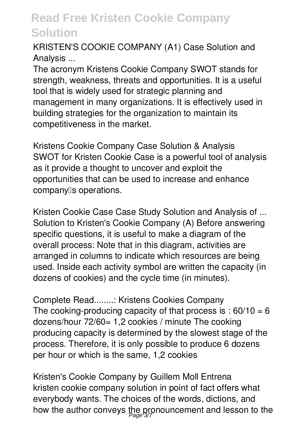KRISTEN'S COOKIE COMPANY (A1) Case Solution and Analysis ...

The acronym Kristens Cookie Company SWOT stands for strength, weakness, threats and opportunities. It is a useful tool that is widely used for strategic planning and management in many organizations. It is effectively used in building strategies for the organization to maintain its competitiveness in the market.

Kristens Cookie Company Case Solution & Analysis SWOT for Kristen Cookie Case is a powerful tool of analysis as it provide a thought to uncover and exploit the opportunities that can be used to increase and enhance company<sup>[</sup>s operations.]

Kristen Cookie Case Case Study Solution and Analysis of ... Solution to Kristen's Cookie Company (A) Before answering specific questions, it is useful to make a diagram of the overall process: Note that in this diagram, activities are arranged in columns to indicate which resources are being used. Inside each activity symbol are written the capacity (in dozens of cookies) and the cycle time (in minutes).

Complete Read........: Kristens Cookies Company The cooking-producing capacity of that process is  $: 60/10 = 6$ dozens/hour 72/60= 1,2 cookies / minute The cooking producing capacity is determined by the slowest stage of the process. Therefore, it is only possible to produce 6 dozens per hour or which is the same, 1,2 cookies

Kristen's Cookie Company by Guillem Moll Entrena kristen cookie company solution in point of fact offers what everybody wants. The choices of the words, dictions, and how the author conveys the pronouncement and lesson to the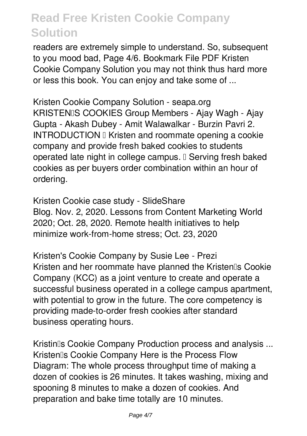readers are extremely simple to understand. So, subsequent to you mood bad, Page 4/6. Bookmark File PDF Kristen Cookie Company Solution you may not think thus hard more or less this book. You can enjoy and take some of ...

Kristen Cookie Company Solution - seapa.org KRISTENIS COOKIES Group Members - Ajay Wagh - Ajay Gupta - Akash Dubey - Amit Walawalkar - Burzin Pavri 2. INTRODUCTION I Kristen and roommate opening a cookie company and provide fresh baked cookies to students operated late night in college campus. I Serving fresh baked cookies as per buyers order combination within an hour of ordering.

Kristen Cookie case study - SlideShare Blog. Nov. 2, 2020. Lessons from Content Marketing World 2020; Oct. 28, 2020. Remote health initiatives to help minimize work-from-home stress; Oct. 23, 2020

Kristen's Cookie Company by Susie Lee - Prezi Kristen and her roommate have planned the Kristen<sup>®</sup>s Cookie Company (KCC) as a joint venture to create and operate a successful business operated in a college campus apartment, with potential to grow in the future. The core competency is providing made-to-order fresh cookies after standard business operating hours.

Kristin<sub>IIs</sub> Cookie Company Production process and analysis ... Kristen<sub>®</sub> Cookie Company Here is the Process Flow Diagram: The whole process throughput time of making a dozen of cookies is 26 minutes. It takes washing, mixing and spooning 8 minutes to make a dozen of cookies. And preparation and bake time totally are 10 minutes.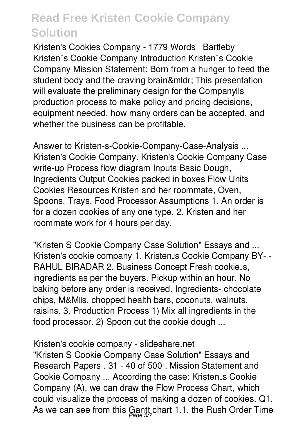Kristen's Cookies Company - 1779 Words | Bartleby Kristen<sub>®</sub> Cookie Company Introduction Kristen®s Cookie Company Mission Statement: Born from a hunger to feed the student body and the craving brain… This presentation will evaluate the preliminary design for the Companylls production process to make policy and pricing decisions, equipment needed, how many orders can be accepted, and whether the business can be profitable.

Answer to Kristen-s-Cookie-Company-Case-Analysis ... Kristen's Cookie Company. Kristen's Cookie Company Case write-up Process flow diagram Inputs Basic Dough, Ingredients Output Cookies packed in boxes Flow Units Cookies Resources Kristen and her roommate, Oven, Spoons, Trays, Food Processor Assumptions 1. An order is for a dozen cookies of any one type. 2. Kristen and her roommate work for 4 hours per day.

"Kristen S Cookie Company Case Solution" Essays and ... Kristen's cookie company 1. Kristen<sup>®</sup>s Cookie Company BY--RAHUL BIRADAR 2. Business Concept Fresh cookiells, ingredients as per the buyers. Pickup within an hour. No baking before any order is received. Ingredients- chocolate chips, M&M's, chopped health bars, coconuts, walnuts, raisins. 3. Production Process 1) Mix all ingredients in the food processor. 2) Spoon out the cookie dough ...

Kristen's cookie company - slideshare.net

"Kristen S Cookie Company Case Solution" Essays and Research Papers . 31 - 40 of 500 . Mission Statement and Cookie Company ... According the case: Kristen<sup>[]</sup>s Cookie Company (A), we can draw the Flow Process Chart, which could visualize the process of making a dozen of cookies. Q1. As we can see from this Gantt chart 1.1, the Rush Order Time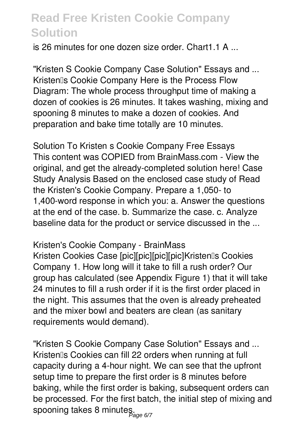is 26 minutes for one dozen size order. Chart1.1 A

"Kristen S Cookie Company Case Solution" Essays and ... Kristen<sup>®</sup>s Cookie Company Here is the Process Flow Diagram: The whole process throughput time of making a dozen of cookies is 26 minutes. It takes washing, mixing and spooning 8 minutes to make a dozen of cookies. And preparation and bake time totally are 10 minutes.

Solution To Kristen s Cookie Company Free Essays This content was COPIED from BrainMass.com - View the original, and get the already-completed solution here! Case Study Analysis Based on the enclosed case study of Read the Kristen's Cookie Company. Prepare a 1,050- to 1,400-word response in which you: a. Answer the questions at the end of the case. b. Summarize the case. c. Analyze baseline data for the product or service discussed in the ...

#### Kristen's Cookie Company - BrainMass

Kristen Cookies Case [pic][pic][pic][pic]Kristen<sup>[]</sup>s Cookies Company 1. How long will it take to fill a rush order? Our group has calculated (see Appendix Figure 1) that it will take 24 minutes to fill a rush order if it is the first order placed in the night. This assumes that the oven is already preheated and the mixer bowl and beaters are clean (as sanitary requirements would demand).

"Kristen S Cookie Company Case Solution" Essays and ... Kristenlls Cookies can fill 22 orders when running at full capacity during a 4-hour night. We can see that the upfront setup time to prepare the first order is 8 minutes before baking, while the first order is baking, subsequent orders can be processed. For the first batch, the initial step of mixing and spooning takes 8 minutes.<br><sub>Page 6/7</sub>